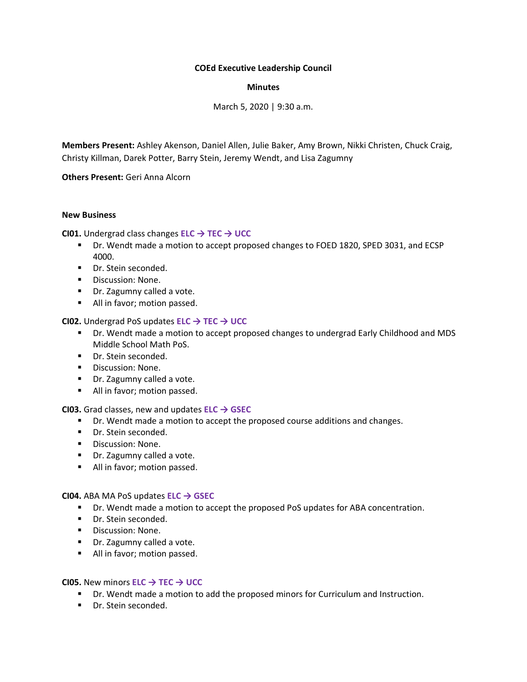## **COEd Executive Leadership Council**

## **Minutes**

March 5, 2020 | 9:30 a.m.

**Members Present:** Ashley Akenson, Daniel Allen, Julie Baker, Amy Brown, Nikki Christen, Chuck Craig, Christy Killman, Darek Potter, Barry Stein, Jeremy Wendt, and Lisa Zagumny

**Others Present:** Geri Anna Alcorn

#### **New Business**

**CI01.** Undergrad class changes **ELC → TEC → UCC**

- Dr. Wendt made a motion to accept proposed changes to FOED 1820, SPED 3031, and ECSP 4000.
- Dr. Stein seconded.
- Discussion: None.
- Dr. Zagumny called a vote.
- All in favor; motion passed.

## **CI02.** Undergrad PoS updates **ELC → TEC → UCC**

- Dr. Wendt made a motion to accept proposed changes to undergrad Early Childhood and MDS Middle School Math PoS.
- **·** Dr. Stein seconded.
- Discussion: None.
- Dr. Zagumny called a vote.
- All in favor; motion passed.

**CI03.** Grad classes, new and updates **ELC → GSEC**

- Dr. Wendt made a motion to accept the proposed course additions and changes.
- Dr. Stein seconded.
- Discussion: None.
- Dr. Zagumny called a vote.
- All in favor; motion passed.

**CI04.** ABA MA PoS updates **ELC → GSEC**

- Dr. Wendt made a motion to accept the proposed PoS updates for ABA concentration.
- Dr. Stein seconded.
- Discussion: None.
- Dr. Zagumny called a vote.
- All in favor; motion passed.

## **CI05.** New minors **ELC → TEC → UCC**

- Dr. Wendt made a motion to add the proposed minors for Curriculum and Instruction.
- Dr. Stein seconded.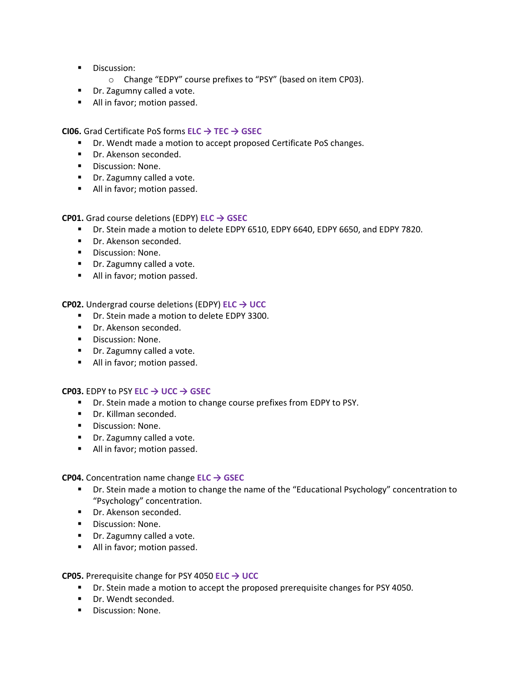- Discussion:
	- o Change "EDPY" course prefixes to "PSY" (based on item CP03).
- Dr. Zagumny called a vote.
- All in favor; motion passed.

**CI06.** Grad Certificate PoS forms **ELC → TEC → GSEC**

- Dr. Wendt made a motion to accept proposed Certificate PoS changes.
- Dr. Akenson seconded.
- Discussion: None.
- Dr. Zagumny called a vote.
- All in favor; motion passed.

**CP01.** Grad course deletions (EDPY) **ELC → GSEC**

- Dr. Stein made a motion to delete EDPY 6510, EDPY 6640, EDPY 6650, and EDPY 7820.
- Dr. Akenson seconded.
- Discussion: None.
- Dr. Zagumny called a vote.
- All in favor; motion passed.

**CP02.** Undergrad course deletions (EDPY) **ELC → UCC**

- Dr. Stein made a motion to delete EDPY 3300.
- Dr. Akenson seconded.
- Discussion: None.
- Dr. Zagumny called a vote.
- All in favor; motion passed.

#### **CP03.** EDPY to PSY **ELC → UCC → GSEC**

- Dr. Stein made a motion to change course prefixes from EDPY to PSY.
- Dr. Killman seconded.
- Discussion: None.
- Dr. Zagumny called a vote.
- All in favor; motion passed.

**CP04.** Concentration name change **ELC → GSEC**

- Dr. Stein made a motion to change the name of the "Educational Psychology" concentration to "Psychology" concentration.
- Dr. Akenson seconded.
- Discussion: None.
- Dr. Zagumny called a vote.
- All in favor; motion passed.

**CP05.** Prerequisite change for PSY 4050 **ELC → UCC**

- Dr. Stein made a motion to accept the proposed prerequisite changes for PSY 4050.
- Dr. Wendt seconded.
- Discussion: None.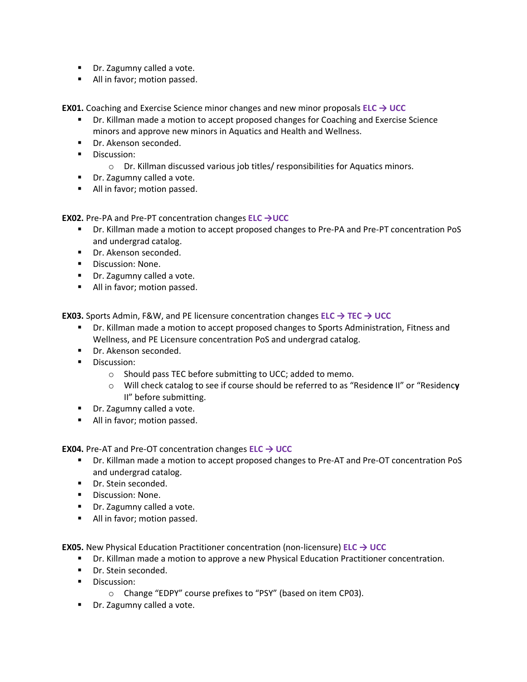- Dr. Zagumny called a vote.
- All in favor; motion passed.

**EX01.** Coaching and Exercise Science minor changes and new minor proposals **ELC → UCC**

- Dr. Killman made a motion to accept proposed changes for Coaching and Exercise Science minors and approve new minors in Aquatics and Health and Wellness.
- Dr. Akenson seconded.
- Discussion:
	- o Dr. Killman discussed various job titles/ responsibilities for Aquatics minors.
- Dr. Zagumny called a vote.
- All in favor; motion passed.

**EX02.** Pre-PA and Pre-PT concentration changes **ELC →UCC**

- Dr. Killman made a motion to accept proposed changes to Pre-PA and Pre-PT concentration PoS and undergrad catalog.
- Dr. Akenson seconded.
- Discussion: None.
- Dr. Zagumny called a vote.
- All in favor; motion passed.

**EX03.** Sports Admin, F&W, and PE licensure concentration changes **ELC → TEC → UCC**

- **Dr. Killman made a motion to accept proposed changes to Sports Administration, Fitness and** Wellness, and PE Licensure concentration PoS and undergrad catalog.
- Dr. Akenson seconded.
- Discussion:
	- o Should pass TEC before submitting to UCC; added to memo.
	- o Will check catalog to see if course should be referred to as "Residenc**e** II" or "Residenc**y** II" before submitting.
- Dr. Zagumny called a vote.
- All in favor; motion passed.

**EX04.** Pre-AT and Pre-OT concentration changes **ELC → UCC**

- Dr. Killman made a motion to accept proposed changes to Pre-AT and Pre-OT concentration PoS and undergrad catalog.
- Dr. Stein seconded.
- Discussion: None.
- Dr. Zagumny called a vote.
- All in favor; motion passed.

**EX05.** New Physical Education Practitioner concentration (non-licensure) **ELC → UCC**

- **Dr. Killman made a motion to approve a new Physical Education Practitioner concentration.**
- Dr. Stein seconded.
- Discussion:
	- o Change "EDPY" course prefixes to "PSY" (based on item CP03).
- Dr. Zagumny called a vote.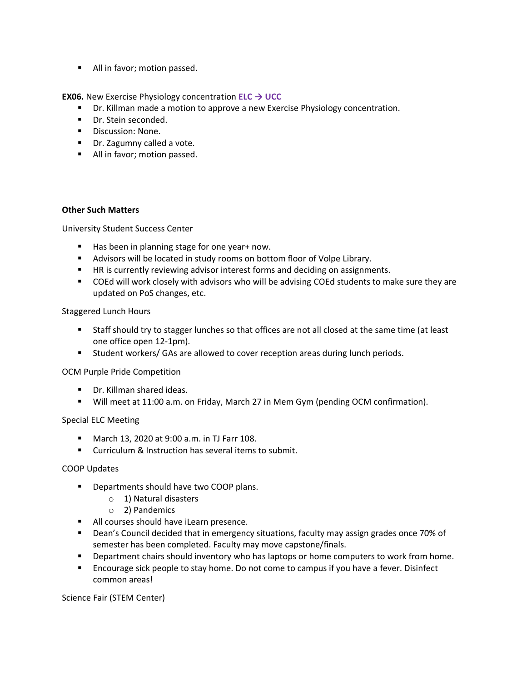■ All in favor; motion passed.

**EX06.** New Exercise Physiology concentration **ELC → UCC**

- Dr. Killman made a motion to approve a new Exercise Physiology concentration.
- Dr. Stein seconded.
- Discussion: None.
- Dr. Zagumny called a vote.
- All in favor; motion passed.

## **Other Such Matters**

University Student Success Center

- Has been in planning stage for one year+ now.
- Advisors will be located in study rooms on bottom floor of Volpe Library.
- HR is currently reviewing advisor interest forms and deciding on assignments.
- COEd will work closely with advisors who will be advising COEd students to make sure they are updated on PoS changes, etc.

## Staggered Lunch Hours

- Staff should try to stagger lunches so that offices are not all closed at the same time (at least one office open 12-1pm).
- Student workers/ GAs are allowed to cover reception areas during lunch periods.

# OCM Purple Pride Competition

- Dr. Killman shared ideas.
- Will meet at 11:00 a.m. on Friday, March 27 in Mem Gym (pending OCM confirmation).

# Special ELC Meeting

- March 13, 2020 at 9:00 a.m. in TJ Farr 108.
- Curriculum & Instruction has several items to submit.

#### COOP Updates

- Departments should have two COOP plans.
	- o 1) Natural disasters
	- o 2) Pandemics
- All courses should have iLearn presence.
- Dean's Council decided that in emergency situations, faculty may assign grades once 70% of semester has been completed. Faculty may move capstone/finals.
- Department chairs should inventory who has laptops or home computers to work from home.
- Encourage sick people to stay home. Do not come to campus if you have a fever. Disinfect common areas!

Science Fair (STEM Center)